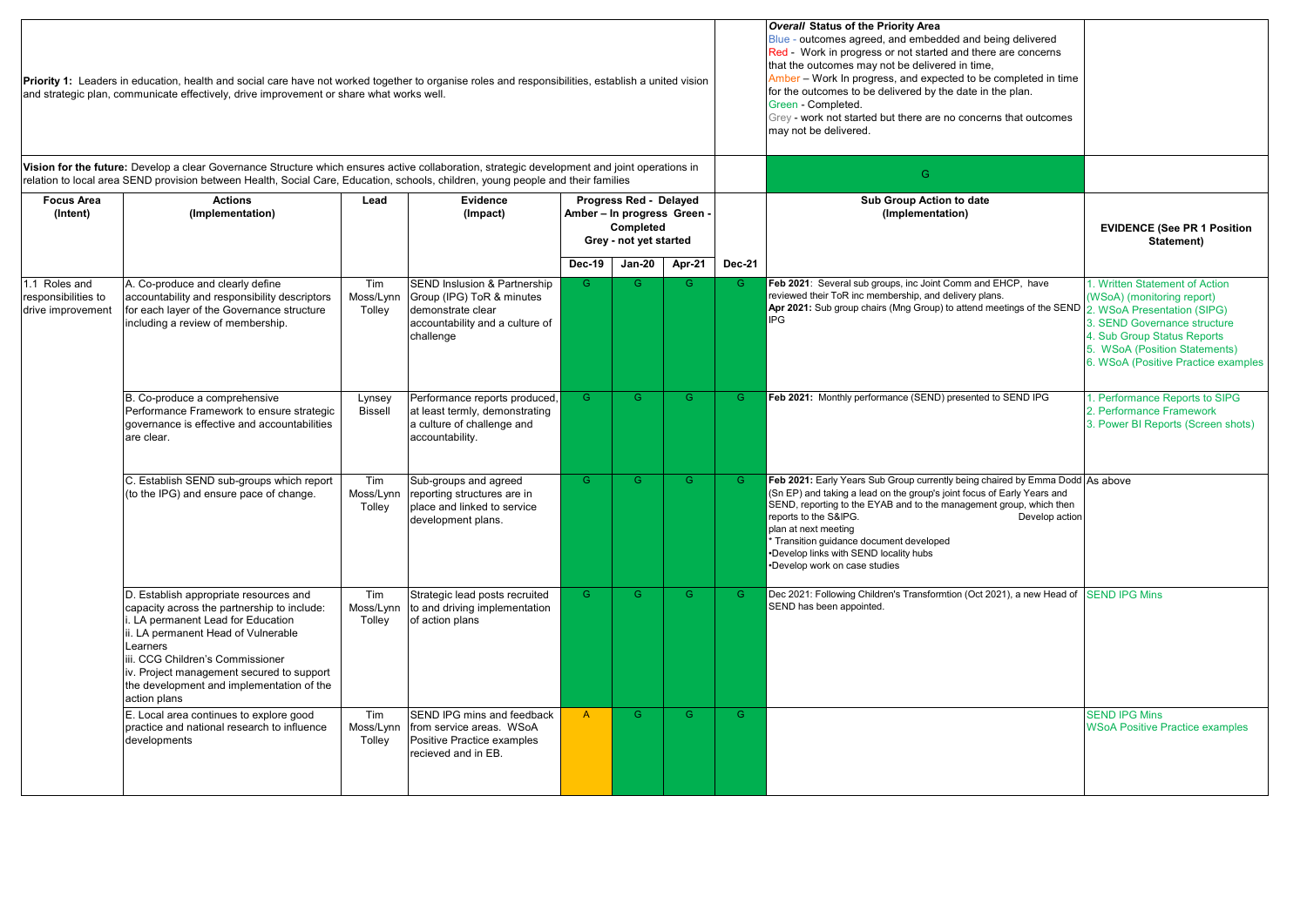|                                                                                                                                                                                                                                                                                   | Priority 1: Leaders in education, health and social care have not worked together to organise roles and responsibilities, establish a united vision<br>and strategic plan, communicate effectively, drive improvement or share what works well.                                                                             |                            |                                                                                                                                           |                |                                                                                              |                |               | <b>Overall Status of the Priority Area</b><br>Blue - outcomes agreed, and embedded and being delivered<br>Red - Work in progress or not started and there are concerns<br>that the outcomes may not be delivered in time,<br>Amber - Work In progress, and expected to be completed in time<br>for the outcomes to be delivered by the date in the plan.<br>Green - Completed.<br>Grey - work not started but there are no concerns that outcomes<br>may not be delivered. |                                                                                                                                                                                                                                    |
|-----------------------------------------------------------------------------------------------------------------------------------------------------------------------------------------------------------------------------------------------------------------------------------|-----------------------------------------------------------------------------------------------------------------------------------------------------------------------------------------------------------------------------------------------------------------------------------------------------------------------------|----------------------------|-------------------------------------------------------------------------------------------------------------------------------------------|----------------|----------------------------------------------------------------------------------------------|----------------|---------------|----------------------------------------------------------------------------------------------------------------------------------------------------------------------------------------------------------------------------------------------------------------------------------------------------------------------------------------------------------------------------------------------------------------------------------------------------------------------------|------------------------------------------------------------------------------------------------------------------------------------------------------------------------------------------------------------------------------------|
| Vision for the future: Develop a clear Governance Structure which ensures active collaboration, strategic development and joint operations in<br>relation to local area SEND provision between Health, Social Care, Education, schools, children, young people and their families |                                                                                                                                                                                                                                                                                                                             |                            |                                                                                                                                           |                |                                                                                              |                |               | G.                                                                                                                                                                                                                                                                                                                                                                                                                                                                         |                                                                                                                                                                                                                                    |
| <b>Focus Area</b><br>(Intent)                                                                                                                                                                                                                                                     | <b>Actions</b><br>(Implementation)                                                                                                                                                                                                                                                                                          | Lead                       | Evidence<br>(Impact)                                                                                                                      |                | Progress Red - Delayed<br>Amber - In progress Green -<br>Completed<br>Grey - not yet started |                |               | Sub Group Action to date<br>(Implementation)                                                                                                                                                                                                                                                                                                                                                                                                                               | <b>EVIDENCE (See PR 1 Position</b><br>Statement)                                                                                                                                                                                   |
|                                                                                                                                                                                                                                                                                   |                                                                                                                                                                                                                                                                                                                             |                            |                                                                                                                                           | Dec-19         | <b>Jan-20</b>                                                                                | Apr-21         | <b>Dec-21</b> |                                                                                                                                                                                                                                                                                                                                                                                                                                                                            |                                                                                                                                                                                                                                    |
| 1.1 Roles and<br>responsibilities to<br>drive improvement                                                                                                                                                                                                                         | A. Co-produce and clearly define<br>accountability and responsibility descriptors<br>for each layer of the Governance structure<br>including a review of membership.                                                                                                                                                        | Tim<br>Moss/Lynn<br>Tolley | <b>SEND Inslusion &amp; Partnership</b><br>Group (IPG) ToR & minutes<br>demonstrate clear<br>accountability and a culture of<br>challenge | G.             | G.                                                                                           | G.             | G.            | Feb 2021: Several sub groups, inc Joint Comm and EHCP, have<br>reviewed their ToR inc membership, and delivery plans.<br>Apr 2021: Sub group chairs (Mng Group) to attend meetings of the SEND<br>IPG                                                                                                                                                                                                                                                                      | 1. Written Statement of Action<br>(WSoA) (monitoring report)<br>2. WSoA Presentation (SIPG)<br>3. SEND Governance structure<br>4. Sub Group Status Reports<br>5. WSoA (Position Statements)<br>6. WSoA (Positive Practice examples |
|                                                                                                                                                                                                                                                                                   | B. Co-produce a comprehensive<br>Performance Framework to ensure strategic<br>governance is effective and accountabilities<br>are clear.                                                                                                                                                                                    | Lynsey<br><b>Bissell</b>   | Performance reports produced,<br>at least termly, demonstrating<br>a culture of challenge and<br>accountability.                          | $\overline{G}$ | $\overline{G}$                                                                               | G              | G.            | Feb 2021: Monthly performance (SEND) presented to SEND IPG                                                                                                                                                                                                                                                                                                                                                                                                                 | 1. Performance Reports to SIPG<br>2. Performance Framework<br>3. Power BI Reports (Screen shots)                                                                                                                                   |
|                                                                                                                                                                                                                                                                                   | C. Establish SEND sub-groups which report<br>(to the IPG) and ensure pace of change.                                                                                                                                                                                                                                        | Tim<br>Moss/Lynn<br>Tolley | Sub-groups and agreed<br>reporting structures are in<br>place and linked to service<br>development plans.                                 | $\overline{G}$ | $\overline{G}$                                                                               | $\overline{G}$ | G.            | Feb 2021: Early Years Sub Group currently being chaired by Emma Dodd As above<br>(Sn EP) and taking a lead on the group's joint focus of Early Years and<br>SEND, reporting to the EYAB and to the management group, which then<br>reports to the S&IPG.<br>Develop action<br>plan at next meeting<br>Transition guidance document developed<br>Develop links with SEND locality hubs<br>Develop work on case studies                                                      |                                                                                                                                                                                                                                    |
|                                                                                                                                                                                                                                                                                   | D. Establish appropriate resources and<br>capacity across the partnership to include:<br>. LA permanent Lead for Education<br>ii. LA permanent Head of Vulnerable<br>Learners<br>iii. CCG Children's Commissioner<br>iv. Project management secured to support<br>the development and implementation of the<br>action plans | Tim<br>Moss/Lynn<br>Tolley | Strategic lead posts recruited<br>to and driving implementation<br>of action plans                                                        | G.             | G.                                                                                           | G.             | G.            | Dec 2021: Following Children's Transformtion (Oct 2021), a new Head of<br>SEND has been appointed.                                                                                                                                                                                                                                                                                                                                                                         | <b>SEND IPG Mins</b>                                                                                                                                                                                                               |
|                                                                                                                                                                                                                                                                                   | E. Local area continues to explore good<br>practice and national research to influence<br>developments                                                                                                                                                                                                                      | Tim<br>Moss/Lynn<br>Tolley | SEND IPG mins and feedback<br>from service areas. WSoA<br>Positive Practice examples<br>recieved and in EB.                               | $\overline{A}$ | G.                                                                                           | G              | G.            |                                                                                                                                                                                                                                                                                                                                                                                                                                                                            | <b>SEND IPG Mins</b><br><b>WSoA Positive Practice examples</b>                                                                                                                                                                     |